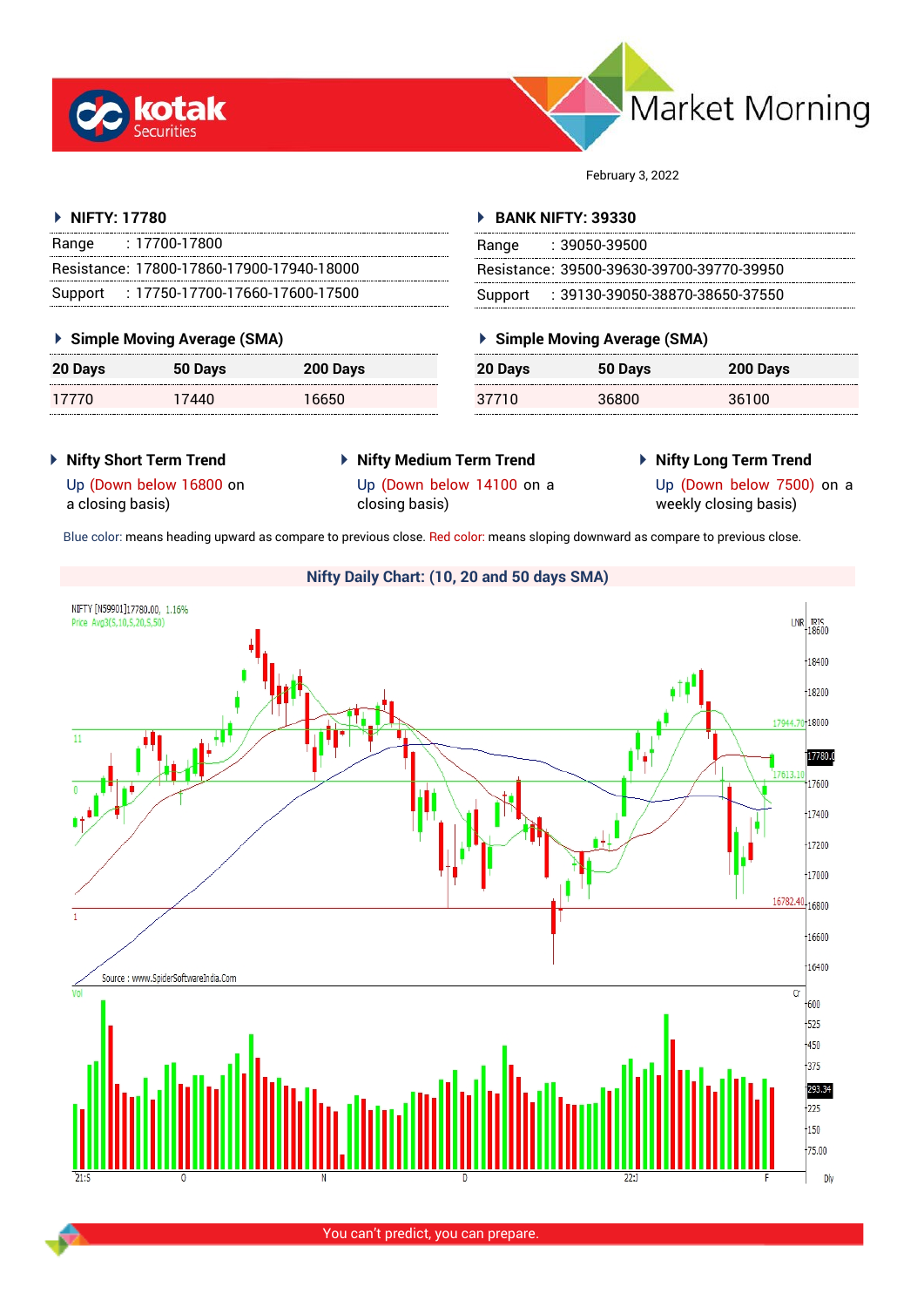



February 3, 2022

### **NIFTY: 17780**

| Range | : 17700-17800                             |
|-------|-------------------------------------------|
|       | Resistance: 17800-17860-17900-17940-18000 |
|       | Support: 17750-17700-17660-17600-17500    |

#### **Simple Moving Average (SMA)**

| 20 Days | 50 Days | 200 Days |
|---------|---------|----------|
| 17770   | 17440   | 16650    |

#### **BANK NIFTY: 39330**

| Range | : 39050-39500                             |
|-------|-------------------------------------------|
|       | Resistance: 39500-39630-39700-39770-39950 |
|       | Support: : 39130-39050-38870-38650-37550  |

## **Simple Moving Average (SMA)**

| 20 Days | 50 Days | 200 Days |
|---------|---------|----------|
| 37710   | 36800   | 36100    |

**Nifty Short Term Trend**

# **Nifty Medium Term Trend** closing basis)

**Nifty Long Term Trend**

Up (Down below 16800 on a closing basis)

Up (Down below 14100 on a

Up (Down below 7500) on a weekly closing basis)

Blue color: means heading upward as compare to previous close. Red color: means sloping downward as compare to previous close.



You can't predict, you can prepare.

## **Nifty Daily Chart: (10, 20 and 50 days SMA)**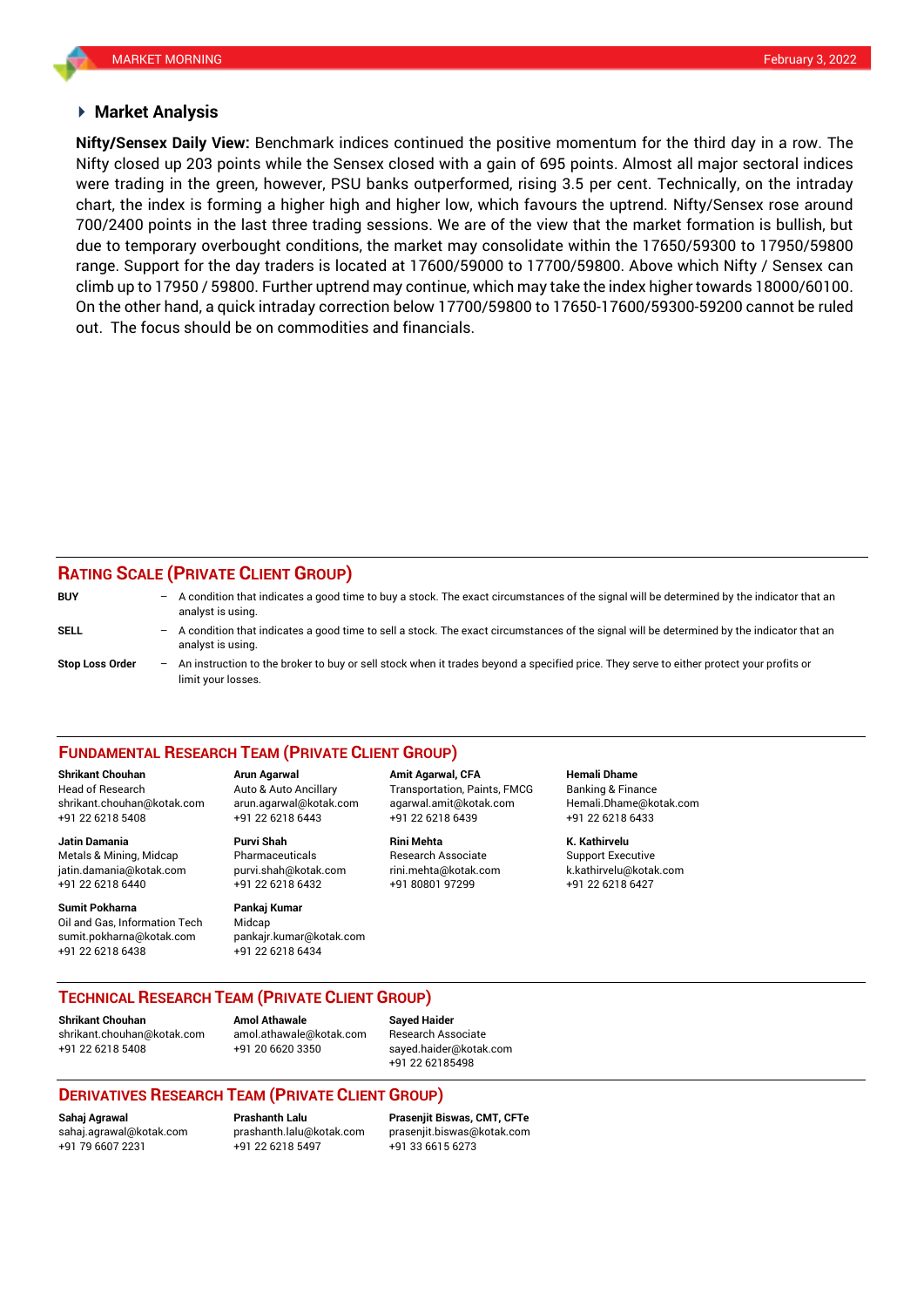#### **Market Analysis**

Nifty closed up 203 points while the Sensex closed with a gain of 695 points. Almost all major sectoral indices chart, the index is forming a higher high and higher low, which favours the uptrend. Nifty/Sensex rose around **Nifty/Sensex Daily View:** Benchmark indices continued the positive momentum for the third day in a row. The were trading in the green, however, PSU banks outperformed, rising 3.5 per cent. Technically, on the intraday 700/2400 points in the last three trading sessions. We are of the view that the market formation is bullish, but due to temporary overbought conditions, the market may consolidate within the 17650/59300 to 17950/59800 range. Support for the day traders is located at 17600/59000 to 17700/59800. Above which Nifty / Sensex can climb up to 17950 / 59800. Further uptrend may continue, which may take the index higher towards 18000/60100. On the other hand, a quick intraday correction below 17700/59800 to 17650-17600/59300-59200 cannot be ruled out. The focus should be on commodities and financials.

## **RATING SCALE (PRIVATE CLIENT GROUP)**

| <b>BUY</b>             | $-$ | A condition that indicates a good time to buy a stock. The exact circumstances of the signal will be determined by the indicator that an<br>analyst is using.  |
|------------------------|-----|----------------------------------------------------------------------------------------------------------------------------------------------------------------|
| SELL                   | $-$ | A condition that indicates a good time to sell a stock. The exact circumstances of the signal will be determined by the indicator that an<br>analyst is using. |
| <b>Stop Loss Order</b> | $-$ | An instruction to the broker to buy or sell stock when it trades beyond a specified price. They serve to either protect your profits or<br>limit vour losses.  |

#### **FUNDAMENTAL RESEARCH TEAM (PRIVATE CLIENT GROUP)**

Head of Research Auto & Auto Ancillary Transportation, Paints, FMCG Banking & Finance [shrikant.chouhan@kotak.com](mailto:shrikant.chouhan@kotak.com) arun.agarwal@kotak.com agarwal.amit@kotak.com Hemali.Dhame@kotak.com

**Jatin Damania Purvi Shah Rini Mehta K. Kathirvelu** Metals & Mining, Midcap Pharmaceuticals Research Associate Support Executive jatin.damania@kotak.com [purvi.shah@kotak.com](mailto:purvi.shah@kotak.com) rini.mehta@kotak.com [k.kathirvelu@kotak.com](mailto:k.kathirvelu@kotak.com) +91 22 6218 6440 +91 22 6218 6432 +91 80801 97299 +91 22 6218 6427

**Sumit Pokharna** Pankaj Kumar Oil and Gas, Information Tech Midcap sumit.pokharna@kotak.com pankajr.kumar@kotak.com +91 22 6218 6438 +91 22 6218 6434

+91 22 6218 5408 +91 22 6218 6443 +91 22 6218 6439 +91 22 6218 6433

**Shrikant Chouhan Arun Agarwal Amit Agarwal, CFA Hemali Dhame**

**TECHNICAL RESEARCH TEAM (PRIVATE CLIENT GROUP)** 

**Shrikant Chouhan Amol Athawale Sayed Haider** [shrikant.chouhan@kotak.com](mailto:shrikant.chouhan@kotak.com) [amol.athawale@kotak.com](mailto:amol.athawale@kotak.com) Research Associate

+91 22 6218 5408 +91 20 6620 3350 [sayed.haider@kotak.com](mailto:sayed.haider@kotak.com) +91 22 62185498

#### **DERIVATIVES RESEARCH TEAM (PRIVATE CLIENT GROUP)**

**Sahaj Agrawal Prashanth Lalu Prasenjit Biswas, CMT, CFTe** [sahaj.agrawal@kotak.com](mailto:sahaj.agrawal@kotak.com) [prashanth.lalu@kotak.com](mailto:prashanth.lalu@kotak.com) [prasenjit.biswas@kotak.com](mailto:prasenjit.biswas@kotak.com) +91 22 6218 5497 +91 33 6615 6273